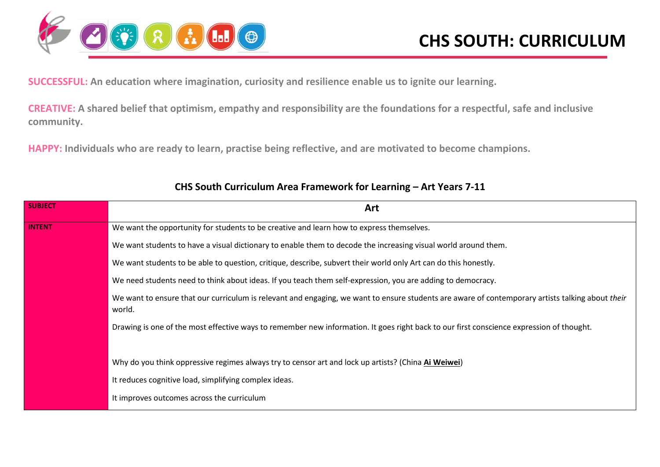

**SUCCESSFUL: An education where imagination, curiosity and resilience enable us to ignite our learning.**

**CREATIVE: A shared belief that optimism, empathy and responsibility are the foundations for a respectful, safe and inclusive community.**

**HAPPY: Individuals who are ready to learn, practise being reflective, and are motivated to become champions.**

| <b>SUBJECT</b> | Art                                                                                                                                                        |
|----------------|------------------------------------------------------------------------------------------------------------------------------------------------------------|
| <b>INTENT</b>  | We want the opportunity for students to be creative and learn how to express themselves.                                                                   |
|                | We want students to have a visual dictionary to enable them to decode the increasing visual world around them.                                             |
|                | We want students to be able to question, critique, describe, subvert their world only Art can do this honestly.                                            |
|                | We need students need to think about ideas. If you teach them self-expression, you are adding to democracy.                                                |
|                | We want to ensure that our curriculum is relevant and engaging, we want to ensure students are aware of contemporary artists talking about their<br>world. |
|                | Drawing is one of the most effective ways to remember new information. It goes right back to our first conscience expression of thought.                   |
|                | Why do you think oppressive regimes always try to censor art and lock up artists? (China Ai Weiwei)                                                        |
|                | It reduces cognitive load, simplifying complex ideas.                                                                                                      |
|                | It improves outcomes across the curriculum                                                                                                                 |

#### **CHS South Curriculum Area Framework for Learning – Art Years 7-11**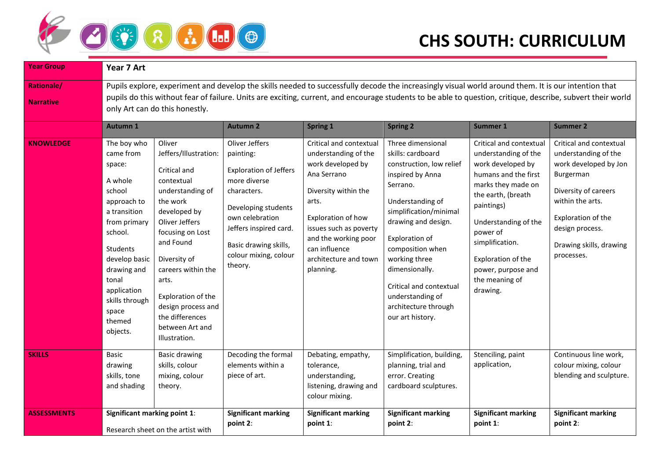

| <b>Year Group</b>                     | Year 7 Art                                                                                                                                                                                                                                                                                                                                           |                                                                                                                                                                                                                                                                                                                    |                                                                                                                                                                                                                              |                                                                                                                                                                                                                                                     |                                                                                                                                                                                                                                                                                                                                             |                                                                                                                                                                                                                                                                                         |                                                                                                                                                                                                                     |
|---------------------------------------|------------------------------------------------------------------------------------------------------------------------------------------------------------------------------------------------------------------------------------------------------------------------------------------------------------------------------------------------------|--------------------------------------------------------------------------------------------------------------------------------------------------------------------------------------------------------------------------------------------------------------------------------------------------------------------|------------------------------------------------------------------------------------------------------------------------------------------------------------------------------------------------------------------------------|-----------------------------------------------------------------------------------------------------------------------------------------------------------------------------------------------------------------------------------------------------|---------------------------------------------------------------------------------------------------------------------------------------------------------------------------------------------------------------------------------------------------------------------------------------------------------------------------------------------|-----------------------------------------------------------------------------------------------------------------------------------------------------------------------------------------------------------------------------------------------------------------------------------------|---------------------------------------------------------------------------------------------------------------------------------------------------------------------------------------------------------------------|
| <b>Rationale/</b><br><b>Narrative</b> | Pupils explore, experiment and develop the skills needed to successfully decode the increasingly visual world around them. It is our intention that<br>pupils do this without fear of failure. Units are exciting, current, and encourage students to be able to question, critique, describe, subvert their world<br>only Art can do this honestly. |                                                                                                                                                                                                                                                                                                                    |                                                                                                                                                                                                                              |                                                                                                                                                                                                                                                     |                                                                                                                                                                                                                                                                                                                                             |                                                                                                                                                                                                                                                                                         |                                                                                                                                                                                                                     |
|                                       | <b>Autumn 1</b>                                                                                                                                                                                                                                                                                                                                      |                                                                                                                                                                                                                                                                                                                    | <b>Autumn 2</b>                                                                                                                                                                                                              | Spring 1                                                                                                                                                                                                                                            | <b>Spring 2</b>                                                                                                                                                                                                                                                                                                                             | Summer 1                                                                                                                                                                                                                                                                                | <b>Summer 2</b>                                                                                                                                                                                                     |
| <b>KNOWLEDGE</b>                      | The boy who<br>came from<br>space:<br>A whole<br>school<br>approach to<br>a transition<br>from primary<br>school.<br>Students<br>develop basic<br>drawing and<br>tonal<br>application<br>skills through<br>space<br>themed<br>objects.                                                                                                               | Oliver<br>Jeffers/Illustration:<br>Critical and<br>contextual<br>understanding of<br>the work<br>developed by<br>Oliver Jeffers<br>focusing on Lost<br>and Found<br>Diversity of<br>careers within the<br>arts.<br>Exploration of the<br>design process and<br>the differences<br>between Art and<br>Illustration. | Oliver Jeffers<br>painting:<br><b>Exploration of Jeffers</b><br>more diverse<br>characters.<br>Developing students<br>own celebration<br>Jeffers inspired card.<br>Basic drawing skills,<br>colour mixing, colour<br>theory. | Critical and contextual<br>understanding of the<br>work developed by<br>Ana Serrano<br>Diversity within the<br>arts.<br>Exploration of how<br>issues such as poverty<br>and the working poor<br>can influence<br>architecture and town<br>planning. | Three dimensional<br>skills: cardboard<br>construction, low relief<br>inspired by Anna<br>Serrano.<br>Understanding of<br>simplification/minimal<br>drawing and design.<br>Exploration of<br>composition when<br>working three<br>dimensionally.<br>Critical and contextual<br>understanding of<br>architecture through<br>our art history. | Critical and contextual<br>understanding of the<br>work developed by<br>humans and the first<br>marks they made on<br>the earth, (breath<br>paintings)<br>Understanding of the<br>power of<br>simplification.<br>Exploration of the<br>power, purpose and<br>the meaning of<br>drawing. | Critical and contextual<br>understanding of the<br>work developed by Jon<br>Burgerman<br>Diversity of careers<br>within the arts.<br>Exploration of the<br>design process.<br>Drawing skills, drawing<br>processes. |
| <b>SKILLS</b>                         | Basic<br>drawing<br>skills, tone<br>and shading                                                                                                                                                                                                                                                                                                      | <b>Basic drawing</b><br>skills, colour<br>mixing, colour<br>theory.                                                                                                                                                                                                                                                | Decoding the formal<br>elements within a<br>piece of art.                                                                                                                                                                    | Debating, empathy,<br>tolerance,<br>understanding,<br>listening, drawing and<br>colour mixing.                                                                                                                                                      | Simplification, building,<br>planning, trial and<br>error. Creating<br>cardboard sculptures.                                                                                                                                                                                                                                                | Stenciling, paint<br>application,                                                                                                                                                                                                                                                       | Continuous line work,<br>colour mixing, colour<br>blending and sculpture.                                                                                                                                           |
| <b>ASSESSMENTS</b>                    | Significant marking point 1:                                                                                                                                                                                                                                                                                                                         | Research sheet on the artist with                                                                                                                                                                                                                                                                                  | <b>Significant marking</b><br>point 2:                                                                                                                                                                                       | <b>Significant marking</b><br>point 1:                                                                                                                                                                                                              | <b>Significant marking</b><br>point 2:                                                                                                                                                                                                                                                                                                      | <b>Significant marking</b><br>point $1$ :                                                                                                                                                                                                                                               | <b>Significant marking</b><br>point 2:                                                                                                                                                                              |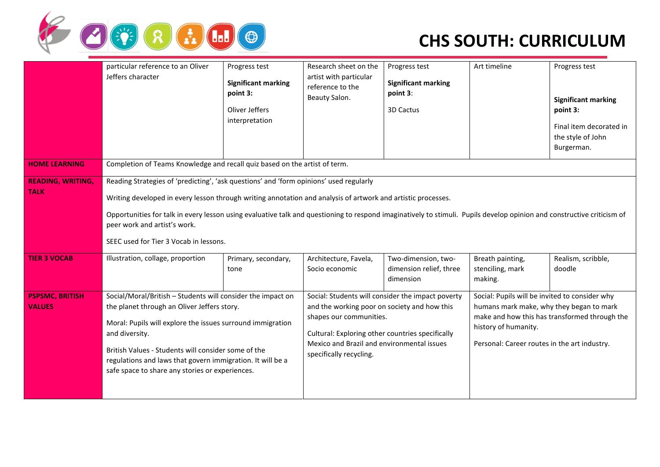

|                                         | particular reference to an Oliver<br>Jeffers character                                                                                                                                                                                                                                                                                                                                                                                                     | Progress test<br><b>Significant marking</b> | Research sheet on the<br>artist with particular                                                                                                                                                      | Progress test<br><b>Significant marking</b>                 | Art timeline                                                                                                                                                       | Progress test                                                          |
|-----------------------------------------|------------------------------------------------------------------------------------------------------------------------------------------------------------------------------------------------------------------------------------------------------------------------------------------------------------------------------------------------------------------------------------------------------------------------------------------------------------|---------------------------------------------|------------------------------------------------------------------------------------------------------------------------------------------------------------------------------------------------------|-------------------------------------------------------------|--------------------------------------------------------------------------------------------------------------------------------------------------------------------|------------------------------------------------------------------------|
|                                         |                                                                                                                                                                                                                                                                                                                                                                                                                                                            | point 3:                                    | reference to the<br>Beauty Salon.                                                                                                                                                                    | point 3:                                                    |                                                                                                                                                                    | <b>Significant marking</b>                                             |
|                                         |                                                                                                                                                                                                                                                                                                                                                                                                                                                            | Oliver Jeffers<br>interpretation            |                                                                                                                                                                                                      | 3D Cactus                                                   |                                                                                                                                                                    | point 3:<br>Final item decorated in<br>the style of John<br>Burgerman. |
| <b>HOME LEARNING</b>                    | Completion of Teams Knowledge and recall quiz based on the artist of term.                                                                                                                                                                                                                                                                                                                                                                                 |                                             |                                                                                                                                                                                                      |                                                             |                                                                                                                                                                    |                                                                        |
| <b>READING, WRITING,</b><br><b>TALK</b> | Reading Strategies of 'predicting', 'ask questions' and 'form opinions' used regularly<br>Writing developed in every lesson through writing annotation and analysis of artwork and artistic processes.<br>Opportunities for talk in every lesson using evaluative talk and questioning to respond imaginatively to stimuli. Pupils develop opinion and constructive criticism of<br>peer work and artist's work.<br>SEEC used for Tier 3 Vocab in lessons. |                                             |                                                                                                                                                                                                      |                                                             |                                                                                                                                                                    |                                                                        |
| <b>TIER 3 VOCAB</b>                     | Illustration, collage, proportion                                                                                                                                                                                                                                                                                                                                                                                                                          | Primary, secondary,<br>tone                 | Architecture, Favela,<br>Socio economic                                                                                                                                                              | Two-dimension, two-<br>dimension relief, three<br>dimension | Breath painting,<br>stenciling, mark<br>making.                                                                                                                    | Realism, scribble,<br>doodle                                           |
| <b>PSPSMC, BRITISH</b><br><b>VALUES</b> | Social/Moral/British - Students will consider the impact on<br>the planet through an Oliver Jeffers story.<br>Moral: Pupils will explore the issues surround immigration<br>and diversity.<br>British Values - Students will consider some of the<br>regulations and laws that govern immigration. It will be a<br>safe space to share any stories or experiences.                                                                                         |                                             | and the working poor on society and how this<br>shapes our communities.<br>Cultural: Exploring other countries specifically<br>Mexico and Brazil and environmental issues<br>specifically recycling. | Social: Students will consider the impact poverty           | Social: Pupils will be invited to consider why<br>humans mark make, why they began to mark<br>history of humanity.<br>Personal: Career routes in the art industry. | make and how this has transformed through the                          |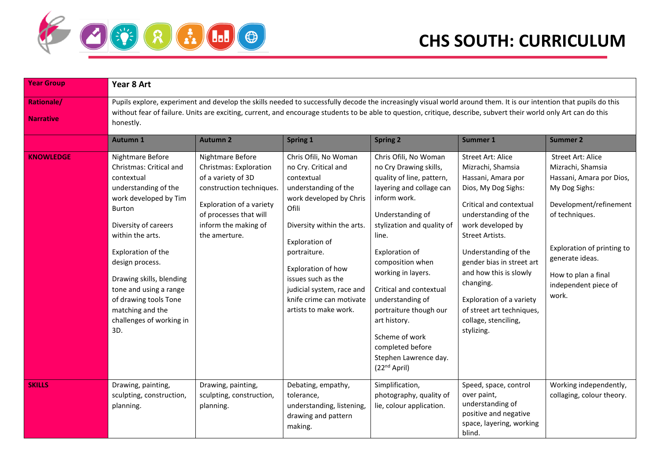

| <b>Year Group</b> | Year 8 Art                                                                                                                                                                                                                                                                                                                                             |                                                                                                                                                                                             |                                                                                                                                                                                                                                                                                                                       |                                                                                                                                                                                                                                                                                                                                                                                                                                     |                                                                                                                                                                                                                                                                                                                                                                                  |                                                                                                                                                                                                                                                 |  |  |  |  |
|-------------------|--------------------------------------------------------------------------------------------------------------------------------------------------------------------------------------------------------------------------------------------------------------------------------------------------------------------------------------------------------|---------------------------------------------------------------------------------------------------------------------------------------------------------------------------------------------|-----------------------------------------------------------------------------------------------------------------------------------------------------------------------------------------------------------------------------------------------------------------------------------------------------------------------|-------------------------------------------------------------------------------------------------------------------------------------------------------------------------------------------------------------------------------------------------------------------------------------------------------------------------------------------------------------------------------------------------------------------------------------|----------------------------------------------------------------------------------------------------------------------------------------------------------------------------------------------------------------------------------------------------------------------------------------------------------------------------------------------------------------------------------|-------------------------------------------------------------------------------------------------------------------------------------------------------------------------------------------------------------------------------------------------|--|--|--|--|
| Rationale/        |                                                                                                                                                                                                                                                                                                                                                        | Pupils explore, experiment and develop the skills needed to successfully decode the increasingly visual world around them. It is our intention that pupils do this                          |                                                                                                                                                                                                                                                                                                                       |                                                                                                                                                                                                                                                                                                                                                                                                                                     |                                                                                                                                                                                                                                                                                                                                                                                  |                                                                                                                                                                                                                                                 |  |  |  |  |
| <b>Narrative</b>  | honestly.                                                                                                                                                                                                                                                                                                                                              | without fear of failure. Units are exciting, current, and encourage students to be able to question, critique, describe, subvert their world only Art can do this                           |                                                                                                                                                                                                                                                                                                                       |                                                                                                                                                                                                                                                                                                                                                                                                                                     |                                                                                                                                                                                                                                                                                                                                                                                  |                                                                                                                                                                                                                                                 |  |  |  |  |
|                   | <b>Autumn 1</b>                                                                                                                                                                                                                                                                                                                                        | <b>Autumn 2</b>                                                                                                                                                                             | <b>Spring 1</b>                                                                                                                                                                                                                                                                                                       | <b>Spring 2</b>                                                                                                                                                                                                                                                                                                                                                                                                                     | Summer 1                                                                                                                                                                                                                                                                                                                                                                         | <b>Summer 2</b>                                                                                                                                                                                                                                 |  |  |  |  |
| <b>KNOWLEDGE</b>  | Nightmare Before<br>Christmas: Critical and<br>contextual<br>understanding of the<br>work developed by Tim<br><b>Burton</b><br>Diversity of careers<br>within the arts.<br>Exploration of the<br>design process.<br>Drawing skills, blending<br>tone and using a range<br>of drawing tools Tone<br>matching and the<br>challenges of working in<br>3D. | Nightmare Before<br>Christmas: Exploration<br>of a variety of 3D<br>construction techniques.<br>Exploration of a variety<br>of processes that will<br>inform the making of<br>the amerture. | Chris Ofili, No Woman<br>no Cry. Critical and<br>contextual<br>understanding of the<br>work developed by Chris<br>Ofili<br>Diversity within the arts.<br>Exploration of<br>portraiture.<br>Exploration of how<br>issues such as the<br>judicial system, race and<br>knife crime can motivate<br>artists to make work. | Chris Ofili, No Woman<br>no Cry Drawing skills,<br>quality of line, pattern,<br>layering and collage can<br>inform work.<br>Understanding of<br>stylization and quality of<br>line.<br>Exploration of<br>composition when<br>working in layers.<br>Critical and contextual<br>understanding of<br>portraiture though our<br>art history.<br>Scheme of work<br>completed before<br>Stephen Lawrence day.<br>(22 <sup>nd</sup> April) | <b>Street Art: Alice</b><br>Mizrachi, Shamsia<br>Hassani, Amara por<br>Dios, My Dog Sighs:<br>Critical and contextual<br>understanding of the<br>work developed by<br>Street Artists.<br>Understanding of the<br>gender bias in street art<br>and how this is slowly<br>changing.<br>Exploration of a variety<br>of street art techniques,<br>collage, stenciling,<br>stylizing. | <b>Street Art: Alice</b><br>Mizrachi, Shamsia<br>Hassani, Amara por Dios,<br>My Dog Sighs:<br>Development/refinement<br>of techniques.<br>Exploration of printing to<br>generate ideas.<br>How to plan a final<br>independent piece of<br>work. |  |  |  |  |
| <b>SKILLS</b>     | Drawing, painting,<br>sculpting, construction,<br>planning.                                                                                                                                                                                                                                                                                            | Drawing, painting,<br>sculpting, construction,<br>planning.                                                                                                                                 | Debating, empathy,<br>tolerance,<br>understanding, listening,<br>drawing and pattern<br>making.                                                                                                                                                                                                                       | Simplification,<br>photography, quality of<br>lie, colour application.                                                                                                                                                                                                                                                                                                                                                              | Speed, space, control<br>over paint,<br>understanding of<br>positive and negative<br>space, layering, working<br>blind.                                                                                                                                                                                                                                                          | Working independently,<br>collaging, colour theory.                                                                                                                                                                                             |  |  |  |  |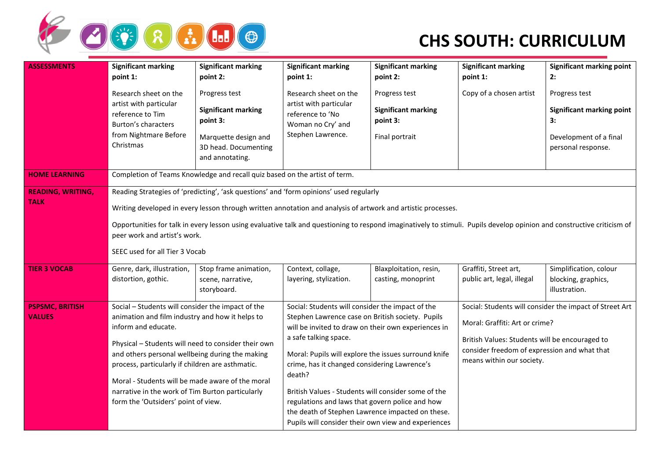

| <b>ASSESSMENTS</b>                      | <b>Significant marking</b><br>point 1:                                                                                                                                                                                                                                                                                                                                                                                                             | <b>Significant marking</b><br>point 2:                                                                                     | <b>Significant marking</b><br>point 1:                                                                                                                                                                                                                                                                                                                                                                                                                                                                                      | <b>Significant marking</b><br>point 2:                                    | <b>Significant marking</b><br>point 1:                                                                                                                        | <b>Significant marking point</b><br>2:                                                                  |
|-----------------------------------------|----------------------------------------------------------------------------------------------------------------------------------------------------------------------------------------------------------------------------------------------------------------------------------------------------------------------------------------------------------------------------------------------------------------------------------------------------|----------------------------------------------------------------------------------------------------------------------------|-----------------------------------------------------------------------------------------------------------------------------------------------------------------------------------------------------------------------------------------------------------------------------------------------------------------------------------------------------------------------------------------------------------------------------------------------------------------------------------------------------------------------------|---------------------------------------------------------------------------|---------------------------------------------------------------------------------------------------------------------------------------------------------------|---------------------------------------------------------------------------------------------------------|
|                                         | Research sheet on the<br>artist with particular<br>reference to Tim<br>Burton's characters<br>from Nightmare Before<br>Christmas                                                                                                                                                                                                                                                                                                                   | Progress test<br><b>Significant marking</b><br>point 3:<br>Marquette design and<br>3D head. Documenting<br>and annotating. | Research sheet on the<br>artist with particular<br>reference to 'No<br>Woman no Cry' and<br>Stephen Lawrence.                                                                                                                                                                                                                                                                                                                                                                                                               | Progress test<br><b>Significant marking</b><br>point 3:<br>Final portrait | Copy of a chosen artist                                                                                                                                       | Progress test<br><b>Significant marking point</b><br>3:<br>Development of a final<br>personal response. |
| <b>HOME LEARNING</b>                    |                                                                                                                                                                                                                                                                                                                                                                                                                                                    | Completion of Teams Knowledge and recall quiz based on the artist of term.                                                 |                                                                                                                                                                                                                                                                                                                                                                                                                                                                                                                             |                                                                           |                                                                                                                                                               |                                                                                                         |
| <b>READING, WRITING,</b><br><b>TALK</b> | Reading Strategies of 'predicting', 'ask questions' and 'form opinions' used regularly<br>Writing developed in every lesson through written annotation and analysis of artwork and artistic processes.<br>Opportunities for talk in every lesson using evaluative talk and questioning to respond imaginatively to stimuli. Pupils develop opinion and constructive criticism of<br>peer work and artist's work.<br>SEEC used for all Tier 3 Vocab |                                                                                                                            |                                                                                                                                                                                                                                                                                                                                                                                                                                                                                                                             |                                                                           |                                                                                                                                                               |                                                                                                         |
| <b>TIER 3 VOCAB</b>                     | Genre, dark, illustration,<br>distortion, gothic.                                                                                                                                                                                                                                                                                                                                                                                                  | Stop frame animation,<br>scene, narrative,<br>storyboard.                                                                  | Context, collage,<br>layering, stylization.                                                                                                                                                                                                                                                                                                                                                                                                                                                                                 | Blaxploitation, resin,<br>casting, monoprint                              | Graffiti, Street art,<br>public art, legal, illegal                                                                                                           | Simplification, colour<br>blocking, graphics,<br>illustration.                                          |
| <b>PSPSMC, BRITISH</b><br><b>VALUES</b> | Social - Students will consider the impact of the<br>animation and film industry and how it helps to<br>inform and educate.<br>Physical - Students will need to consider their own<br>and others personal wellbeing during the making<br>process, particularly if children are asthmatic.<br>Moral - Students will be made aware of the moral<br>narrative in the work of Tim Burton particularly<br>form the 'Outsiders' point of view.           |                                                                                                                            | Social: Students will consider the impact of the<br>Stephen Lawrence case on British society. Pupils<br>will be invited to draw on their own experiences in<br>a safe talking space.<br>Moral: Pupils will explore the issues surround knife<br>crime, has it changed considering Lawrence's<br>death?<br>British Values - Students will consider some of the<br>regulations and laws that govern police and how<br>the death of Stephen Lawrence impacted on these.<br>Pupils will consider their own view and experiences |                                                                           | Moral: Graffiti: Art or crime?<br>British Values: Students will be encouraged to<br>consider freedom of expression and what that<br>means within our society. | Social: Students will consider the impact of Street Art                                                 |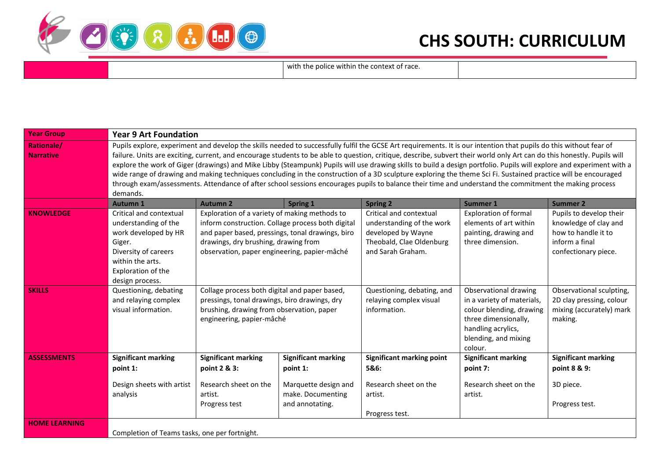

with the police within the context of race.

| <b>Year Group</b>                     | <b>Year 9 Art Foundation</b>                                                                                                                                                                                                                                                                                                                                                                                                                                                                                                                                                                                                                                                                                                                                                                                                                                   |                                                                                                                                                                          |                                                                                                       |                                                                                                                             |                                                                                                                                                                  |                                                                                                                   |  |
|---------------------------------------|----------------------------------------------------------------------------------------------------------------------------------------------------------------------------------------------------------------------------------------------------------------------------------------------------------------------------------------------------------------------------------------------------------------------------------------------------------------------------------------------------------------------------------------------------------------------------------------------------------------------------------------------------------------------------------------------------------------------------------------------------------------------------------------------------------------------------------------------------------------|--------------------------------------------------------------------------------------------------------------------------------------------------------------------------|-------------------------------------------------------------------------------------------------------|-----------------------------------------------------------------------------------------------------------------------------|------------------------------------------------------------------------------------------------------------------------------------------------------------------|-------------------------------------------------------------------------------------------------------------------|--|
| <b>Rationale/</b><br><b>Narrative</b> | Pupils explore, experiment and develop the skills needed to successfully fulfil the GCSE Art requirements. It is our intention that pupils do this without fear of<br>failure. Units are exciting, current, and encourage students to be able to question, critique, describe, subvert their world only Art can do this honestly. Pupils will<br>explore the work of Giger (drawings) and Mike Libby (Steampunk) Pupils will use drawing skills to build a design portfolio. Pupils will explore and experiment with a<br>wide range of drawing and making techniques concluding in the construction of a 3D sculpture exploring the theme Sci Fi. Sustained practice will be encouraged<br>through exam/assessments. Attendance of after school sessions encourages pupils to balance their time and understand the commitment the making process<br>demands. |                                                                                                                                                                          |                                                                                                       |                                                                                                                             |                                                                                                                                                                  |                                                                                                                   |  |
|                                       | <b>Autumn 1</b>                                                                                                                                                                                                                                                                                                                                                                                                                                                                                                                                                                                                                                                                                                                                                                                                                                                | <b>Autumn 2</b>                                                                                                                                                          | Spring 1                                                                                              | <b>Spring 2</b>                                                                                                             | <b>Summer 1</b>                                                                                                                                                  | <b>Summer 2</b>                                                                                                   |  |
| <b>KNOWLEDGE</b>                      | Critical and contextual<br>understanding of the<br>work developed by HR<br>Giger.<br>Diversity of careers<br>within the arts.<br>Exploration of the<br>design process.                                                                                                                                                                                                                                                                                                                                                                                                                                                                                                                                                                                                                                                                                         | Exploration of a variety of making methods to<br>drawings, dry brushing, drawing from<br>observation, paper engineering, papier-mâché                                    | inform construction. Collage process both digital<br>and paper based, pressings, tonal drawings, biro | Critical and contextual<br>understanding of the work<br>developed by Wayne<br>Theobald, Clae Oldenburg<br>and Sarah Graham. | <b>Exploration of formal</b><br>elements of art within<br>painting, drawing and<br>three dimension.                                                              | Pupils to develop their<br>knowledge of clay and<br>how to handle it to<br>inform a final<br>confectionary piece. |  |
| <b>SKILLS</b>                         | Questioning, debating<br>and relaying complex<br>visual information.                                                                                                                                                                                                                                                                                                                                                                                                                                                                                                                                                                                                                                                                                                                                                                                           | Collage process both digital and paper based,<br>pressings, tonal drawings, biro drawings, dry<br>brushing, drawing from observation, paper<br>engineering, papier-mâché |                                                                                                       | Questioning, debating, and<br>relaying complex visual<br>information.                                                       | Observational drawing<br>in a variety of materials,<br>colour blending, drawing<br>three dimensionally,<br>handling acrylics,<br>blending, and mixing<br>colour. | Observational sculpting,<br>2D clay pressing, colour<br>mixing (accurately) mark<br>making.                       |  |
| <b>ASSESSMENTS</b>                    | <b>Significant marking</b><br>point 1:                                                                                                                                                                                                                                                                                                                                                                                                                                                                                                                                                                                                                                                                                                                                                                                                                         | <b>Significant marking</b><br>point 2 & 3:                                                                                                                               | <b>Significant marking</b><br>point 1:                                                                | Significant marking point<br>5&6:                                                                                           | <b>Significant marking</b><br>point 7:                                                                                                                           | <b>Significant marking</b><br>point 8 & 9:                                                                        |  |
|                                       | Design sheets with artist<br>analysis                                                                                                                                                                                                                                                                                                                                                                                                                                                                                                                                                                                                                                                                                                                                                                                                                          | Research sheet on the<br>artist.<br>Progress test                                                                                                                        | Marquette design and<br>make. Documenting<br>and annotating.                                          | Research sheet on the<br>artist.<br>Progress test.                                                                          | Research sheet on the<br>artist.                                                                                                                                 | 3D piece.<br>Progress test.                                                                                       |  |
| <b>HOME LEARNING</b>                  | Completion of Teams tasks, one per fortnight.                                                                                                                                                                                                                                                                                                                                                                                                                                                                                                                                                                                                                                                                                                                                                                                                                  |                                                                                                                                                                          |                                                                                                       |                                                                                                                             |                                                                                                                                                                  |                                                                                                                   |  |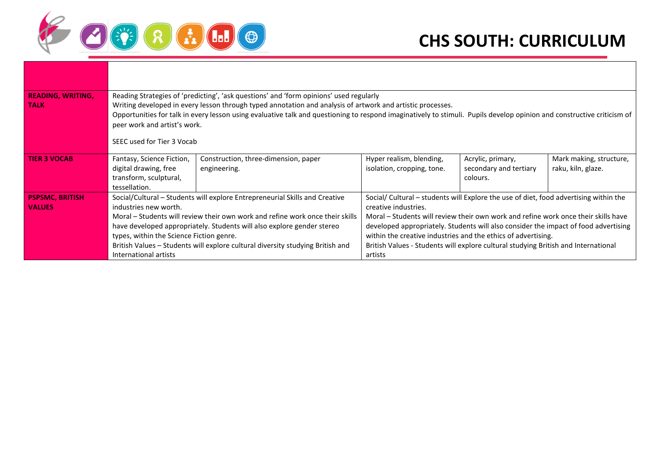

| <b>READING, WRITING,</b><br><b>TALK</b> | Reading Strategies of 'predicting', 'ask questions' and 'form opinions' used regularly<br>Writing developed in every lesson through typed annotation and analysis of artwork and artistic processes.<br>Opportunities for talk in every lesson using evaluative talk and questioning to respond imaginatively to stimuli. Pupils develop opinion and constructive criticism of<br>peer work and artist's work.<br>SEEC used for Tier 3 Vocab |                                                      |                                                                                                                                                                                                                                                                                                                                                                                                                                                              |                                                         |                                               |  |  |
|-----------------------------------------|----------------------------------------------------------------------------------------------------------------------------------------------------------------------------------------------------------------------------------------------------------------------------------------------------------------------------------------------------------------------------------------------------------------------------------------------|------------------------------------------------------|--------------------------------------------------------------------------------------------------------------------------------------------------------------------------------------------------------------------------------------------------------------------------------------------------------------------------------------------------------------------------------------------------------------------------------------------------------------|---------------------------------------------------------|-----------------------------------------------|--|--|
| <b>TIER 3 VOCAB</b>                     | Fantasy, Science Fiction,<br>digital drawing, free<br>transform, sculptural,<br>tessellation.                                                                                                                                                                                                                                                                                                                                                | Construction, three-dimension, paper<br>engineering. | Hyper realism, blending,<br>isolation, cropping, tone.                                                                                                                                                                                                                                                                                                                                                                                                       | Acrylic, primary,<br>secondary and tertiary<br>colours. | Mark making, structure,<br>raku, kiln, glaze. |  |  |
| <b>PSPSMC, BRITISH</b><br><b>VALUES</b> | Social/Cultural – Students will explore Entrepreneurial Skills and Creative<br>industries new worth.<br>Moral – Students will review their own work and refine work once their skills<br>have developed appropriately. Students will also explore gender stereo<br>types, within the Science Fiction genre.<br>British Values – Students will explore cultural diversity studying British and<br>International artists                       |                                                      | Social/ Cultural – students will Explore the use of diet, food advertising within the<br>creative industries.<br>Moral – Students will review their own work and refine work once their skills have<br>developed appropriately. Students will also consider the impact of food advertising<br>within the creative industries and the ethics of advertising.<br>British Values - Students will explore cultural studying British and International<br>artists |                                                         |                                               |  |  |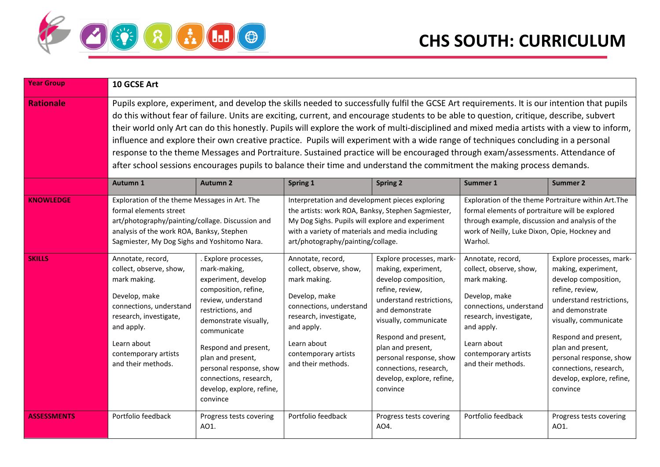

| <b>Year Group</b>  | 10 GCSE Art                                                                                                                                                                                                                                                                                                                                                                                                                                                                                                                                                                                                                                                                                                                                                                                                                              |                                                                                                                                                                                                                                                                                                                   |                                                                                                                                                                                                                                                   |                                                                                                                                                                                                                                                                                                               |                                                                                                                                                                                                                        |                                                                                                                                                                                                                                                                                                               |  |  |
|--------------------|------------------------------------------------------------------------------------------------------------------------------------------------------------------------------------------------------------------------------------------------------------------------------------------------------------------------------------------------------------------------------------------------------------------------------------------------------------------------------------------------------------------------------------------------------------------------------------------------------------------------------------------------------------------------------------------------------------------------------------------------------------------------------------------------------------------------------------------|-------------------------------------------------------------------------------------------------------------------------------------------------------------------------------------------------------------------------------------------------------------------------------------------------------------------|---------------------------------------------------------------------------------------------------------------------------------------------------------------------------------------------------------------------------------------------------|---------------------------------------------------------------------------------------------------------------------------------------------------------------------------------------------------------------------------------------------------------------------------------------------------------------|------------------------------------------------------------------------------------------------------------------------------------------------------------------------------------------------------------------------|---------------------------------------------------------------------------------------------------------------------------------------------------------------------------------------------------------------------------------------------------------------------------------------------------------------|--|--|
| <b>Rationale</b>   | Pupils explore, experiment, and develop the skills needed to successfully fulfil the GCSE Art requirements. It is our intention that pupils<br>do this without fear of failure. Units are exciting, current, and encourage students to be able to question, critique, describe, subvert<br>their world only Art can do this honestly. Pupils will explore the work of multi-disciplined and mixed media artists with a view to inform,<br>influence and explore their own creative practice. Pupils will experiment with a wide range of techniques concluding in a personal<br>response to the theme Messages and Portraiture. Sustained practice will be encouraged through exam/assessments. Attendance of<br>after school sessions encourages pupils to balance their time and understand the commitment the making process demands. |                                                                                                                                                                                                                                                                                                                   |                                                                                                                                                                                                                                                   |                                                                                                                                                                                                                                                                                                               |                                                                                                                                                                                                                        |                                                                                                                                                                                                                                                                                                               |  |  |
|                    | Autumn 1                                                                                                                                                                                                                                                                                                                                                                                                                                                                                                                                                                                                                                                                                                                                                                                                                                 | <b>Autumn 2</b>                                                                                                                                                                                                                                                                                                   | Spring 1                                                                                                                                                                                                                                          | <b>Spring 2</b>                                                                                                                                                                                                                                                                                               | Summer 1                                                                                                                                                                                                               | <b>Summer 2</b>                                                                                                                                                                                                                                                                                               |  |  |
| <b>KNOWLEDGE</b>   | Exploration of the theme Messages in Art. The<br>formal elements street<br>art/photography/painting/collage. Discussion and<br>analysis of the work ROA, Banksy, Stephen<br>Sagmiester, My Dog Sighs and Yoshitomo Nara.                                                                                                                                                                                                                                                                                                                                                                                                                                                                                                                                                                                                                 |                                                                                                                                                                                                                                                                                                                   | Interpretation and development pieces exploring<br>the artists: work ROA, Banksy, Stephen Sagmiester,<br>My Dog Sighs. Pupils will explore and experiment<br>with a variety of materials and media including<br>art/photography/painting/collage. |                                                                                                                                                                                                                                                                                                               | Exploration of the theme Portraiture within Art. The<br>formal elements of portraiture will be explored<br>through example, discussion and analysis of the<br>work of Neilly, Luke Dixon, Opie, Hockney and<br>Warhol. |                                                                                                                                                                                                                                                                                                               |  |  |
| <b>SKILLS</b>      | Annotate, record,<br>collect, observe, show,<br>mark making.<br>Develop, make<br>connections, understand<br>research, investigate,<br>and apply.<br>Learn about<br>contemporary artists<br>and their methods.                                                                                                                                                                                                                                                                                                                                                                                                                                                                                                                                                                                                                            | . Explore processes,<br>mark-making,<br>experiment, develop<br>composition, refine,<br>review, understand<br>restrictions, and<br>demonstrate visually,<br>communicate<br>Respond and present,<br>plan and present,<br>personal response, show<br>connections, research,<br>develop, explore, refine,<br>convince | Annotate, record,<br>collect, observe, show,<br>mark making.<br>Develop, make<br>connections, understand<br>research, investigate,<br>and apply.<br>Learn about<br>contemporary artists<br>and their methods.                                     | Explore processes, mark-<br>making, experiment,<br>develop composition,<br>refine, review,<br>understand restrictions,<br>and demonstrate<br>visually, communicate<br>Respond and present,<br>plan and present,<br>personal response, show<br>connections, research,<br>develop, explore, refine,<br>convince | Annotate, record,<br>collect, observe, show,<br>mark making.<br>Develop, make<br>connections, understand<br>research, investigate,<br>and apply.<br>Learn about<br>contemporary artists<br>and their methods.          | Explore processes, mark-<br>making, experiment,<br>develop composition,<br>refine, review,<br>understand restrictions,<br>and demonstrate<br>visually, communicate<br>Respond and present,<br>plan and present,<br>personal response, show<br>connections, research,<br>develop, explore, refine,<br>convince |  |  |
| <b>ASSESSMENTS</b> | Portfolio feedback                                                                                                                                                                                                                                                                                                                                                                                                                                                                                                                                                                                                                                                                                                                                                                                                                       | Progress tests covering<br>AO1.                                                                                                                                                                                                                                                                                   | Portfolio feedback                                                                                                                                                                                                                                | Progress tests covering<br>AO4.                                                                                                                                                                                                                                                                               | Portfolio feedback                                                                                                                                                                                                     | Progress tests covering<br>AO1.                                                                                                                                                                                                                                                                               |  |  |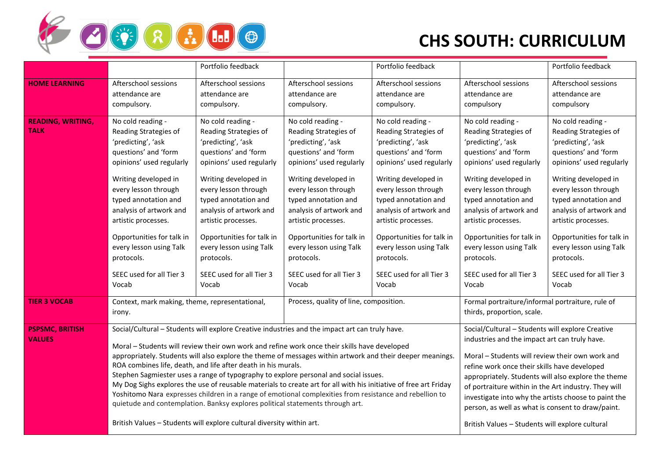

|                                         |                                                                                                                                                                                                                                                                                                                                                           | Portfolio feedback                                                                                                                                                                                                                                                                                                                                        |                                                                                                                                                                                                                                                                                                                                                                                                                                                                                                                                                                                                                                    | Portfolio feedback                                                                                                                                                                                                                                                                                                                                        |                                                                                                                                                                                                                                                                                                                                                                                                                                                                                     | Portfolio feedback                                                                                                                                                                                                                                                                                                                                        |
|-----------------------------------------|-----------------------------------------------------------------------------------------------------------------------------------------------------------------------------------------------------------------------------------------------------------------------------------------------------------------------------------------------------------|-----------------------------------------------------------------------------------------------------------------------------------------------------------------------------------------------------------------------------------------------------------------------------------------------------------------------------------------------------------|------------------------------------------------------------------------------------------------------------------------------------------------------------------------------------------------------------------------------------------------------------------------------------------------------------------------------------------------------------------------------------------------------------------------------------------------------------------------------------------------------------------------------------------------------------------------------------------------------------------------------------|-----------------------------------------------------------------------------------------------------------------------------------------------------------------------------------------------------------------------------------------------------------------------------------------------------------------------------------------------------------|-------------------------------------------------------------------------------------------------------------------------------------------------------------------------------------------------------------------------------------------------------------------------------------------------------------------------------------------------------------------------------------------------------------------------------------------------------------------------------------|-----------------------------------------------------------------------------------------------------------------------------------------------------------------------------------------------------------------------------------------------------------------------------------------------------------------------------------------------------------|
| <b>HOME LEARNING</b>                    | Afterschool sessions<br>attendance are<br>compulsory.                                                                                                                                                                                                                                                                                                     | Afterschool sessions<br>attendance are<br>compulsory.                                                                                                                                                                                                                                                                                                     | Afterschool sessions<br>attendance are<br>compulsory.                                                                                                                                                                                                                                                                                                                                                                                                                                                                                                                                                                              | Afterschool sessions<br>attendance are<br>compulsory.                                                                                                                                                                                                                                                                                                     | Afterschool sessions<br>attendance are<br>compulsory                                                                                                                                                                                                                                                                                                                                                                                                                                | Afterschool sessions<br>attendance are<br>compulsory                                                                                                                                                                                                                                                                                                      |
| <b>READING, WRITING,</b><br><b>TALK</b> | No cold reading -<br>Reading Strategies of<br>'predicting', 'ask<br>questions' and 'form<br>opinions' used regularly<br>Writing developed in<br>every lesson through<br>typed annotation and<br>analysis of artwork and<br>artistic processes.<br>Opportunities for talk in<br>every lesson using Talk<br>protocols.<br>SEEC used for all Tier 3<br>Vocab | No cold reading -<br>Reading Strategies of<br>'predicting', 'ask<br>questions' and 'form<br>opinions' used regularly<br>Writing developed in<br>every lesson through<br>typed annotation and<br>analysis of artwork and<br>artistic processes.<br>Opportunities for talk in<br>every lesson using Talk<br>protocols.<br>SEEC used for all Tier 3<br>Vocab | No cold reading -<br>Reading Strategies of<br>'predicting', 'ask<br>questions' and 'form<br>opinions' used regularly<br>Writing developed in<br>every lesson through<br>typed annotation and<br>analysis of artwork and<br>artistic processes.<br>Opportunities for talk in<br>every lesson using Talk<br>protocols.<br>SEEC used for all Tier 3<br>Vocab                                                                                                                                                                                                                                                                          | No cold reading -<br>Reading Strategies of<br>'predicting', 'ask<br>questions' and 'form<br>opinions' used regularly<br>Writing developed in<br>every lesson through<br>typed annotation and<br>analysis of artwork and<br>artistic processes.<br>Opportunities for talk in<br>every lesson using Talk<br>protocols.<br>SEEC used for all Tier 3<br>Vocab | No cold reading -<br>Reading Strategies of<br>'predicting', 'ask<br>questions' and 'form<br>opinions' used regularly<br>Writing developed in<br>every lesson through<br>typed annotation and<br>analysis of artwork and<br>artistic processes.<br>Opportunities for talk in<br>every lesson using Talk<br>protocols.<br>SEEC used for all Tier 3<br>Vocab                                                                                                                           | No cold reading -<br>Reading Strategies of<br>'predicting', 'ask<br>questions' and 'form<br>opinions' used regularly<br>Writing developed in<br>every lesson through<br>typed annotation and<br>analysis of artwork and<br>artistic processes.<br>Opportunities for talk in<br>every lesson using Talk<br>protocols.<br>SEEC used for all Tier 3<br>Vocab |
| <b>TIER 3 VOCAB</b>                     | Context, mark making, theme, representational,<br>irony.                                                                                                                                                                                                                                                                                                  |                                                                                                                                                                                                                                                                                                                                                           | Process, quality of line, composition.                                                                                                                                                                                                                                                                                                                                                                                                                                                                                                                                                                                             |                                                                                                                                                                                                                                                                                                                                                           | Formal portraiture/informal portraiture, rule of<br>thirds, proportion, scale.                                                                                                                                                                                                                                                                                                                                                                                                      |                                                                                                                                                                                                                                                                                                                                                           |
| <b>PSPSMC, BRITISH</b><br><b>VALUES</b> |                                                                                                                                                                                                                                                                                                                                                           | ROA combines life, death, and life after death in his murals.<br>quietude and contemplation. Banksy explores political statements through art.<br>British Values - Students will explore cultural diversity within art.                                                                                                                                   | Social/Cultural - Students will explore Creative industries and the impact art can truly have.<br>Moral - Students will review their own work and refine work once their skills have developed<br>appropriately. Students will also explore the theme of messages within artwork and their deeper meanings.<br>Stephen Sagmiester uses a range of typography to explore personal and social issues.<br>My Dog Sighs explores the use of reusable materials to create art for all with his initiative of free art Friday<br>Yoshitomo Nara expresses children in a range of emotional complexities from resistance and rebellion to |                                                                                                                                                                                                                                                                                                                                                           | Social/Cultural - Students will explore Creative<br>industries and the impact art can truly have.<br>Moral - Students will review their own work and<br>refine work once their skills have developed<br>appropriately. Students will also explore the theme<br>of portraiture within in the Art industry. They will<br>investigate into why the artists choose to paint the<br>person, as well as what is consent to draw/paint.<br>British Values - Students will explore cultural |                                                                                                                                                                                                                                                                                                                                                           |